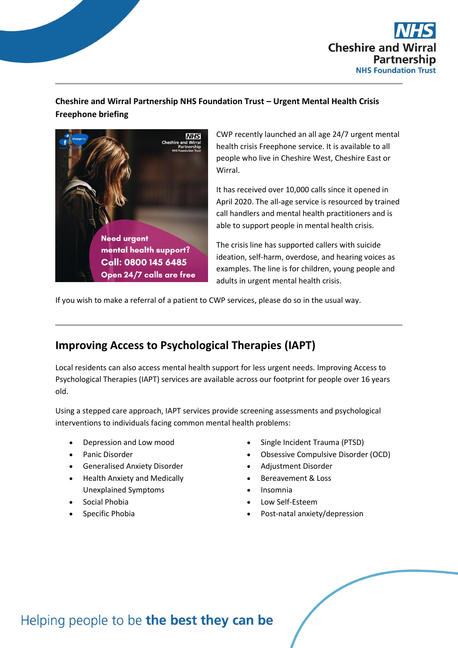

#### **Cheshire and Wirral Partnership NHS Foundation Trust – Urgent Mental Health Crisis Freephone briefing**



CWP recently launched an all age 24/7 urgent mental health crisis Freephone service. It is available to all people who live in Cheshire West, Cheshire East or Wirral.

It has received over 10,000 calls since it opened in April 2020. The all-age service is resourced by trained call handlers and mental health practitioners and is able to support people in mental health crisis.

The crisis line has supported callers with suicide ideation, self-harm, overdose, and hearing voices as examples. The line is for children, young people and adults in urgent mental health crisis.

If you wish to make a referral of a patient to CWP services, please do so in the usual way.

## **Improving Access to Psychological Therapies (IAPT)**

Local residents can also access mental health support for less urgent needs. Improving Access to Psychological Therapies (IAPT) services are available across our footprint for people over 16 years old.

Using a stepped care approach, IAPT services provide screening assessments and psychological interventions to individuals facing common mental health problems:

- Depression and Low mood
- Panic Disorder
- Generalised Anxiety Disorder
- Health Anxiety and Medically Unexplained Symptoms
- Social Phobia
- Specific Phobia
- Single Incident Trauma (PTSD)
- Obsessive Compulsive Disorder (OCD)
- Adjustment Disorder
- Bereavement & Loss
- Insomnia
- Low Self-Esteem
- Post-natal anxiety/depression

## Helping people to be the best they can be